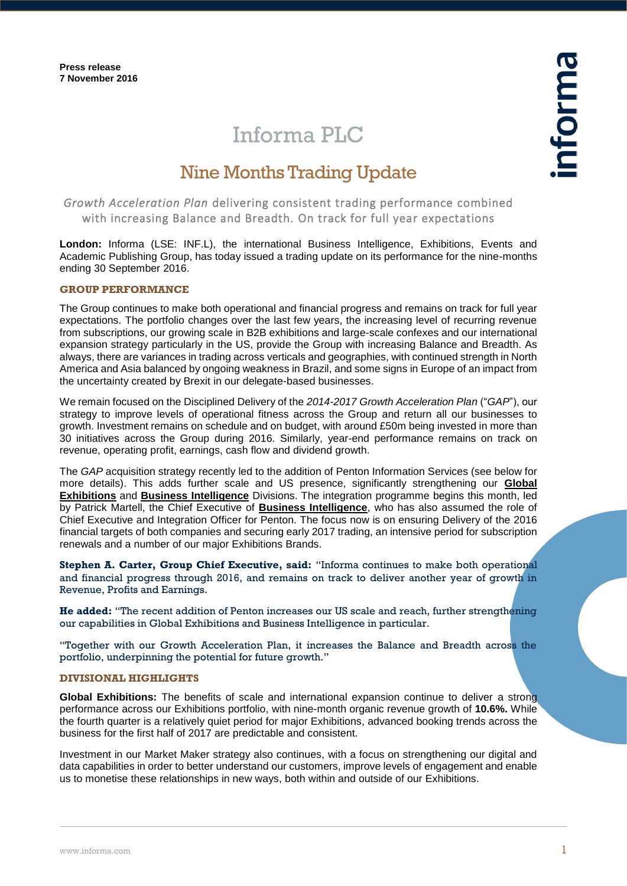# Informa PLC

# Nine Months Trading Update

*Growth Acceleration Plan* delivering consistent trading performance combined with increasing Balance and Breadth. On track for full year expectations

**London:** Informa (LSE: INF.L), the international Business Intelligence, Exhibitions, Events and Academic Publishing Group, has today issued a trading update on its performance for the nine-months ending 30 September 2016.

## **GROUP PERFORMANCE**

The Group continues to make both operational and financial progress and remains on track for full year expectations. The portfolio changes over the last few years, the increasing level of recurring revenue from subscriptions, our growing scale in B2B exhibitions and large-scale confexes and our international expansion strategy particularly in the US, provide the Group with increasing Balance and Breadth. As always, there are variances in trading across verticals and geographies, with continued strength in North America and Asia balanced by ongoing weakness in Brazil, and some signs in Europe of an impact from the uncertainty created by Brexit in our delegate-based businesses.

We remain focused on the Disciplined Delivery of the *2014-2017 Growth Acceleration Plan* ("*GAP*"), our strategy to improve levels of operational fitness across the Group and return all our businesses to growth. Investment remains on schedule and on budget, with around £50m being invested in more than 30 initiatives across the Group during 2016. Similarly, year-end performance remains on track on revenue, operating profit, earnings, cash flow and dividend growth.

The *GAP* acquisition strategy recently led to the addition of Penton Information Services (see below for more details). This adds further scale and US presence, significantly strengthening our **Global Exhibitions** and **Business Intelligence** Divisions. The integration programme begins this month, led by Patrick Martell, the Chief Executive of **Business Intelligence**, who has also assumed the role of Chief Executive and Integration Officer for Penton. The focus now is on ensuring Delivery of the 2016 financial targets of both companies and securing early 2017 trading, an intensive period for subscription renewals and a number of our major Exhibitions Brands.

**Stephen A. Carter, Group Chief Executive, said:** "Informa continues to make both operational and financial progress through 2016, and remains on track to deliver another year of growth in Revenue, Profits and Earnings.

**He added:** "The recent addition of Penton increases our US scale and reach, further strengthening our capabilities in Global Exhibitions and Business Intelligence in particular.

"Together with our Growth Acceleration Plan, it increases the Balance and Breadth across the portfolio, underpinning the potential for future growth."

### **DIVISIONAL HIGHLIGHTS**

**Global Exhibitions:** The benefits of scale and international expansion continue to deliver a strong performance across our Exhibitions portfolio, with nine-month organic revenue growth of **10.6%.** While the fourth quarter is a relatively quiet period for major Exhibitions, advanced booking trends across the business for the first half of 2017 are predictable and consistent.

Investment in our Market Maker strategy also continues, with a focus on strengthening our digital and data capabilities in order to better understand our customers, improve levels of engagement and enable us to monetise these relationships in new ways, both within and outside of our Exhibitions.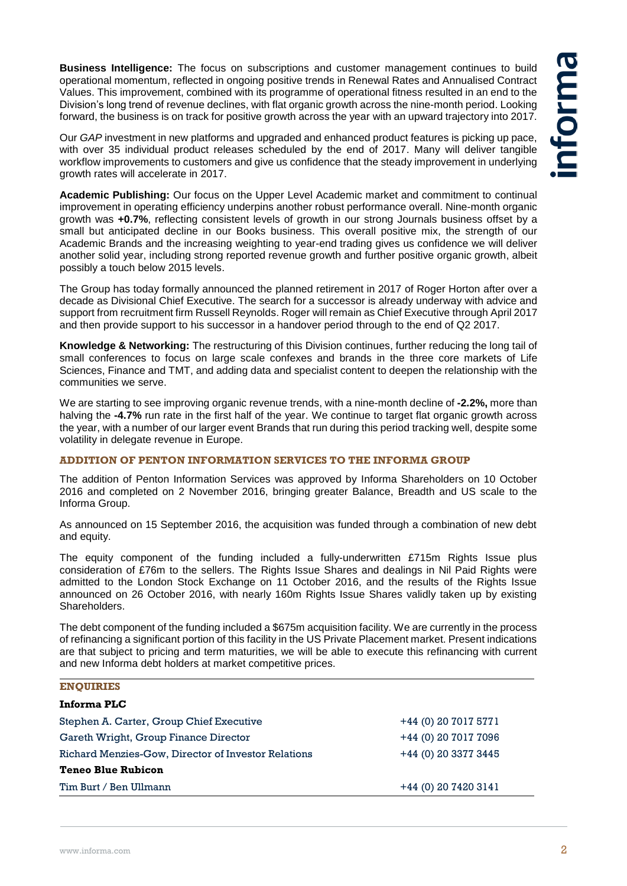**Business Intelligence:** The focus on subscriptions and customer management continues to build operational momentum, reflected in ongoing positive trends in Renewal Rates and Annualised Contract Values. This improvement, combined with its programme of operational fitness resulted in an end to the Division's long trend of revenue declines, with flat organic growth across the nine-month period. Looking forward, the business is on track for positive growth across the year with an upward trajectory into 2017.

Our *GAP* investment in new platforms and upgraded and enhanced product features is picking up pace, with over 35 individual product releases scheduled by the end of 2017. Many will deliver tangible workflow improvements to customers and give us confidence that the steady improvement in underlying growth rates will accelerate in 2017.

**Academic Publishing:** Our focus on the Upper Level Academic market and commitment to continual improvement in operating efficiency underpins another robust performance overall. Nine-month organic growth was **+0.7%**, reflecting consistent levels of growth in our strong Journals business offset by a small but anticipated decline in our Books business. This overall positive mix, the strength of our Academic Brands and the increasing weighting to year-end trading gives us confidence we will deliver another solid year, including strong reported revenue growth and further positive organic growth, albeit possibly a touch below 2015 levels.

The Group has today formally announced the planned retirement in 2017 of Roger Horton after over a decade as Divisional Chief Executive. The search for a successor is already underway with advice and support from recruitment firm Russell Reynolds. Roger will remain as Chief Executive through April 2017 and then provide support to his successor in a handover period through to the end of Q2 2017.

**Knowledge & Networking:** The restructuring of this Division continues, further reducing the long tail of small conferences to focus on large scale confexes and brands in the three core markets of Life Sciences, Finance and TMT, and adding data and specialist content to deepen the relationship with the communities we serve.

We are starting to see improving organic revenue trends, with a nine-month decline of **-2.2%,** more than halving the **-4.7%** run rate in the first half of the year. We continue to target flat organic growth across the year, with a number of our larger event Brands that run during this period tracking well, despite some volatility in delegate revenue in Europe.

# **ADDITION OF PENTON INFORMATION SERVICES TO THE INFORMA GROUP**

The addition of Penton Information Services was approved by Informa Shareholders on 10 October 2016 and completed on 2 November 2016, bringing greater Balance, Breadth and US scale to the Informa Group.

As announced on 15 September 2016, the acquisition was funded through a combination of new debt and equity.

The equity component of the funding included a fully-underwritten £715m Rights Issue plus consideration of £76m to the sellers. The Rights Issue Shares and dealings in Nil Paid Rights were admitted to the London Stock Exchange on 11 October 2016, and the results of the Rights Issue announced on 26 October 2016, with nearly 160m Rights Issue Shares validly taken up by existing Shareholders.

The debt component of the funding included a \$675m acquisition facility. We are currently in the process of refinancing a significant portion of this facility in the US Private Placement market. Present indications are that subject to pricing and term maturities, we will be able to execute this refinancing with current and new Informa debt holders at market competitive prices.

#### **ENQUIRIES**

| Informa PLC                                         |                       |
|-----------------------------------------------------|-----------------------|
| Stephen A. Carter, Group Chief Executive            | +44 (0) 20 7017 5771  |
| Gareth Wright, Group Finance Director               | +44 (0) 20 7017 7096  |
| Richard Menzies-Gow, Director of Investor Relations | +44 (0) 20 3377 3445  |
| <b>Teneo Blue Rubicon</b>                           |                       |
| Tim Burt / Ben Ullmann                              | $+44(0)$ 20 7420 3141 |